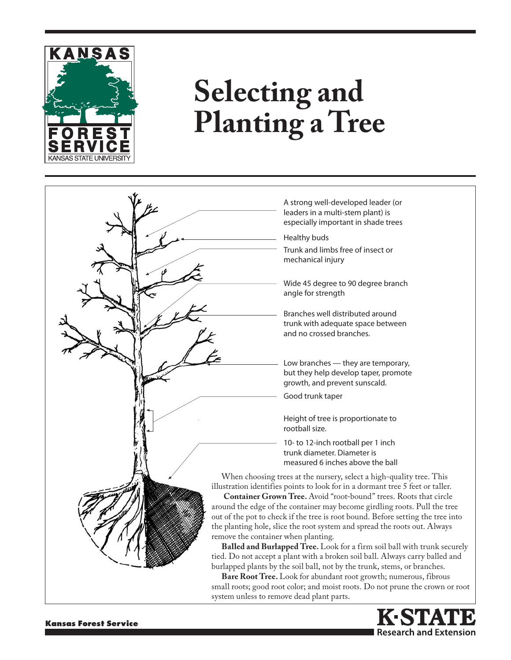

## **Selecting and Planting a Tree**





**Kansas Forest Service**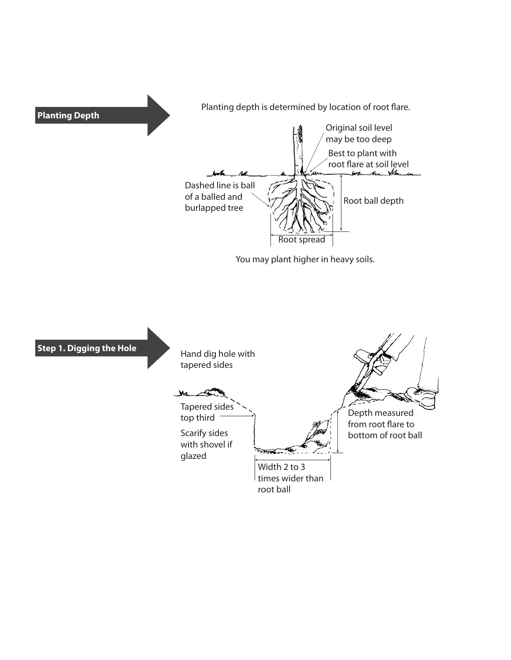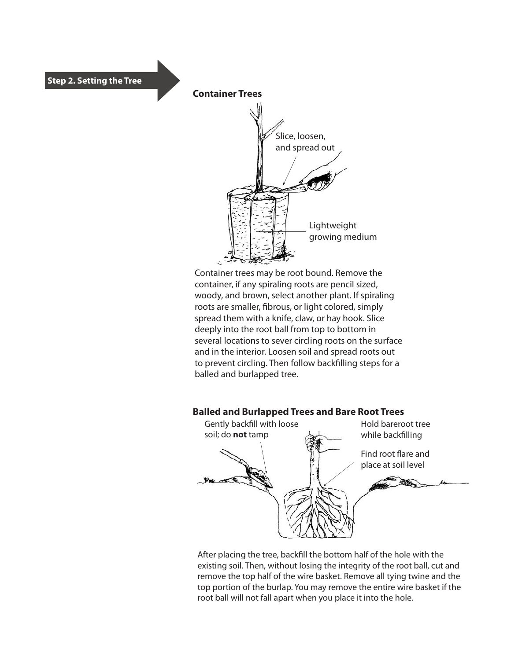



Container trees may be root bound. Remove the container, if any spiraling roots are pencil sized, woody, and brown, select another plant. If spiraling roots are smaller, fibrous, or light colored, simply spread them with a knife, claw, or hay hook. Slice deeply into the root ball from top to bottom in several locations to sever circling roots on the surface and in the interior. Loosen soil and spread roots out to prevent circling. Then follow backfilling steps for a balled and burlapped tree.

## **Balled and Burlapped Trees and Bare Root Trees**



After placing the tree, backfill the bottom half of the hole with the existing soil. Then, without losing the integrity of the root ball, cut and remove the top half of the wire basket. Remove all tying twine and the top portion of the burlap. You may remove the entire wire basket if the root ball will not fall apart when you place it into the hole.